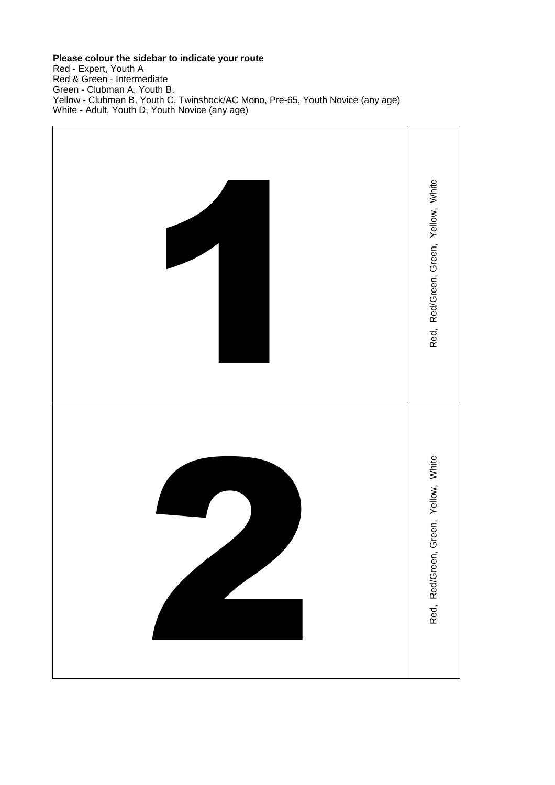## **Please colour the sidebar to indicate your route**

Red - Expert, Youth A Red & Green - Intermediate Green - Clubman A, Youth B. Yellow - Clubman B, Youth C, Twinshock/AC Mono, Pre-65, Youth Novice (any age) White - Adult, Youth D, Youth Novice (any age)

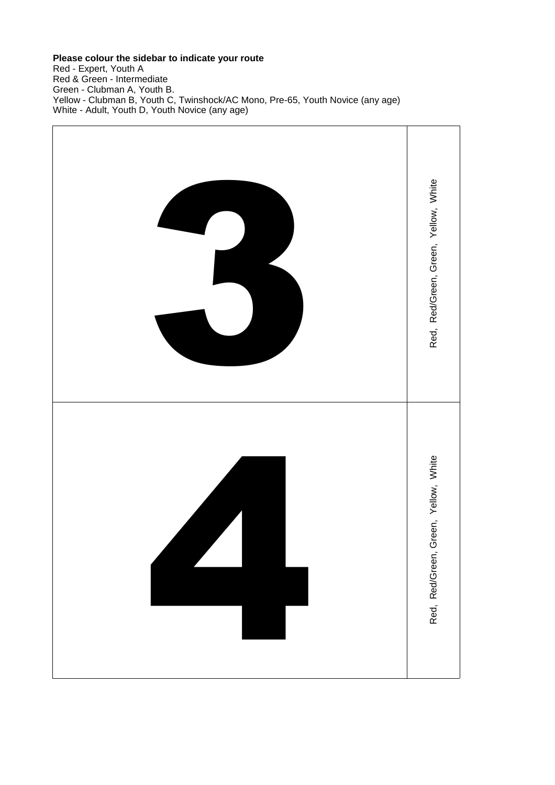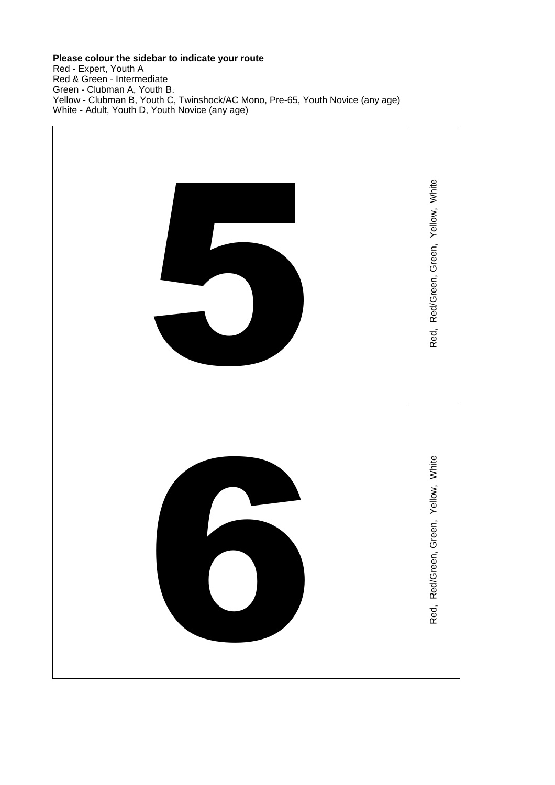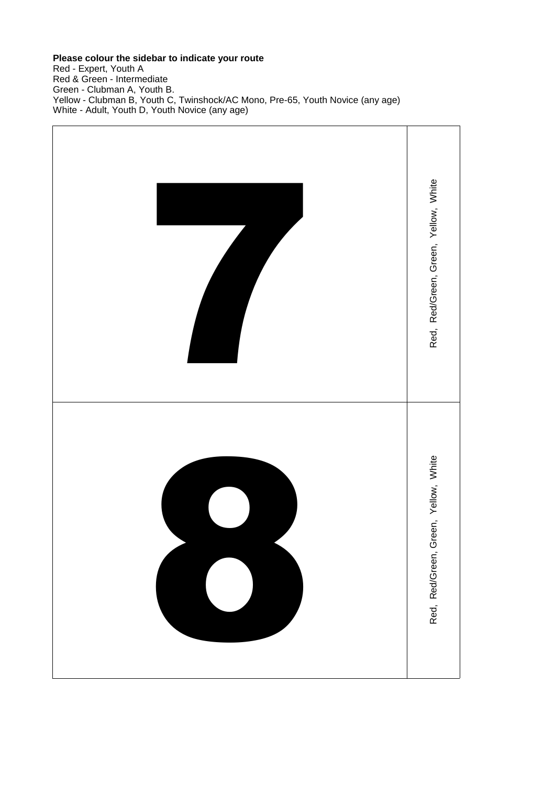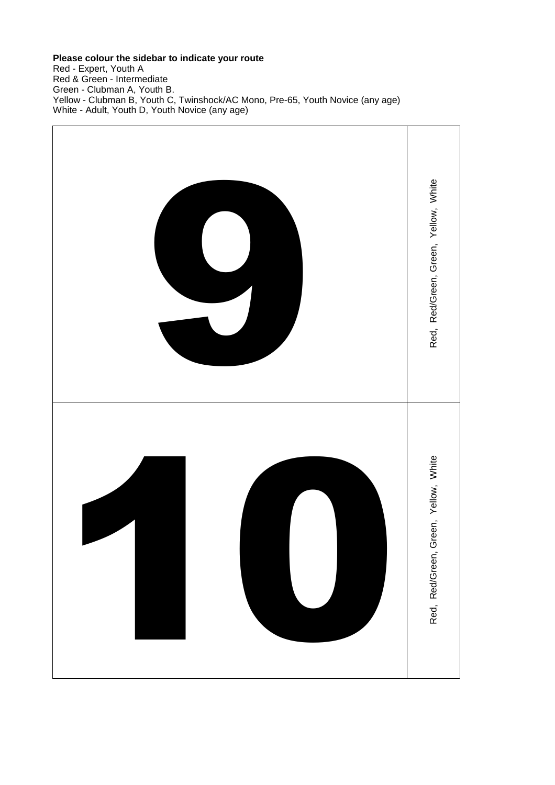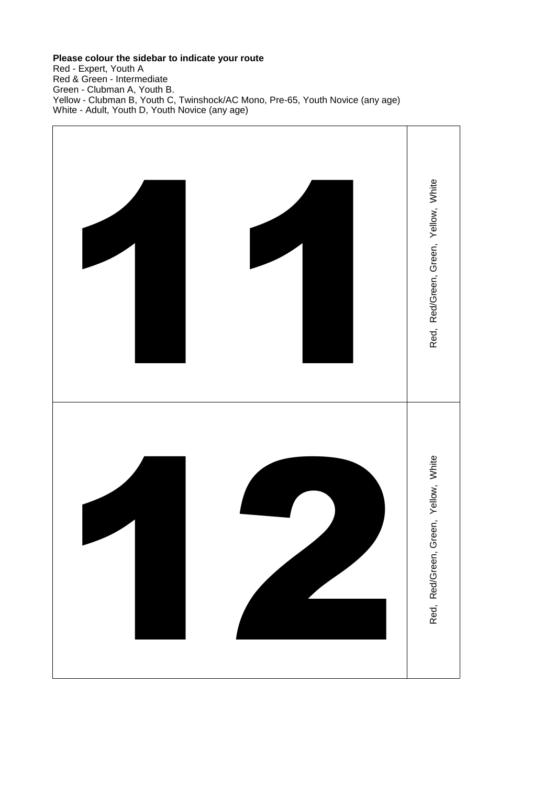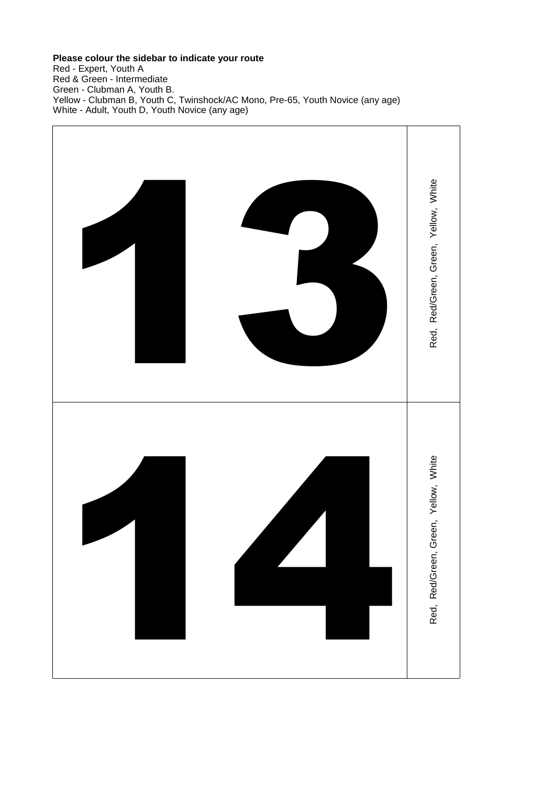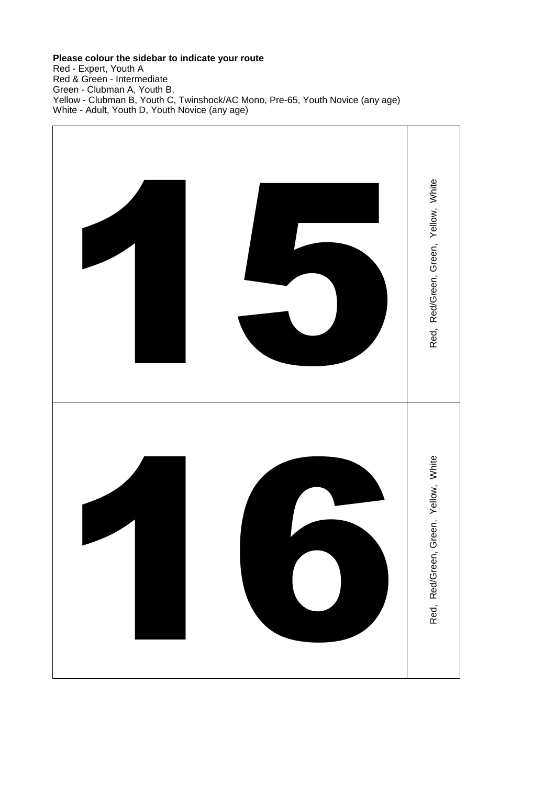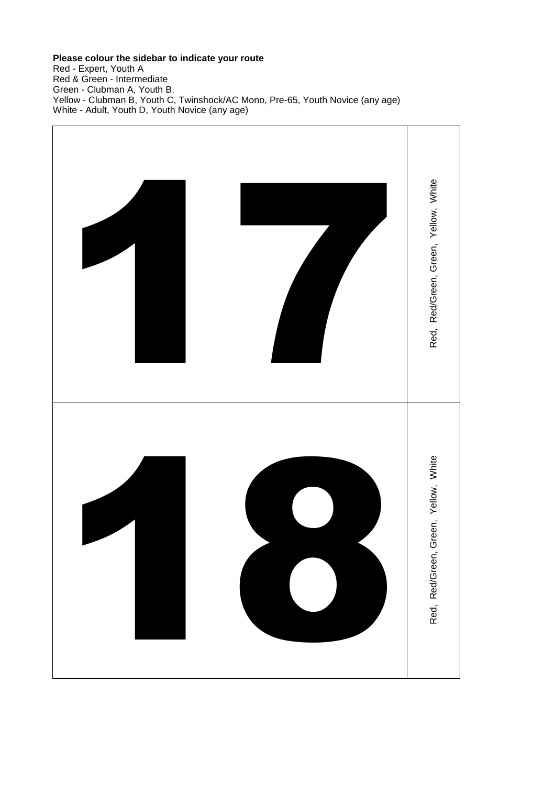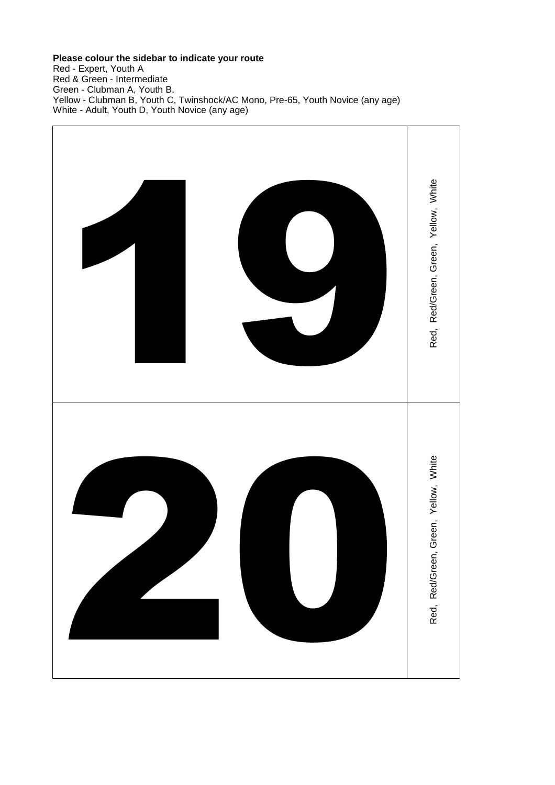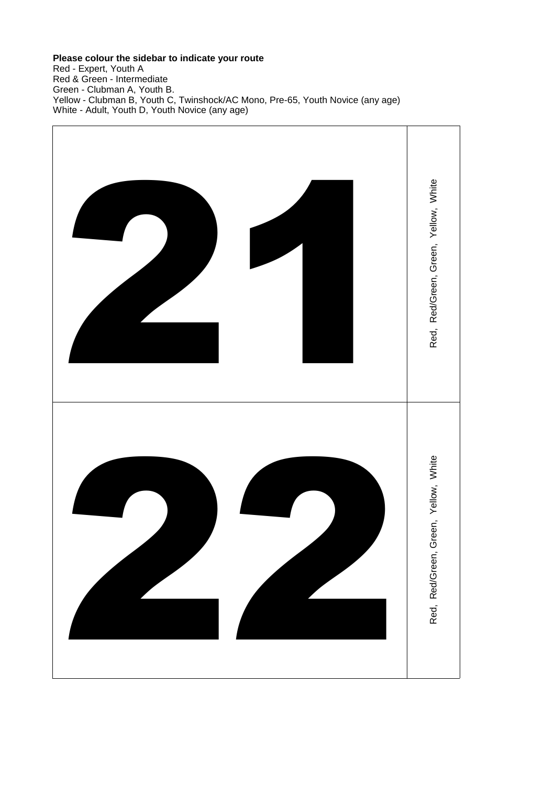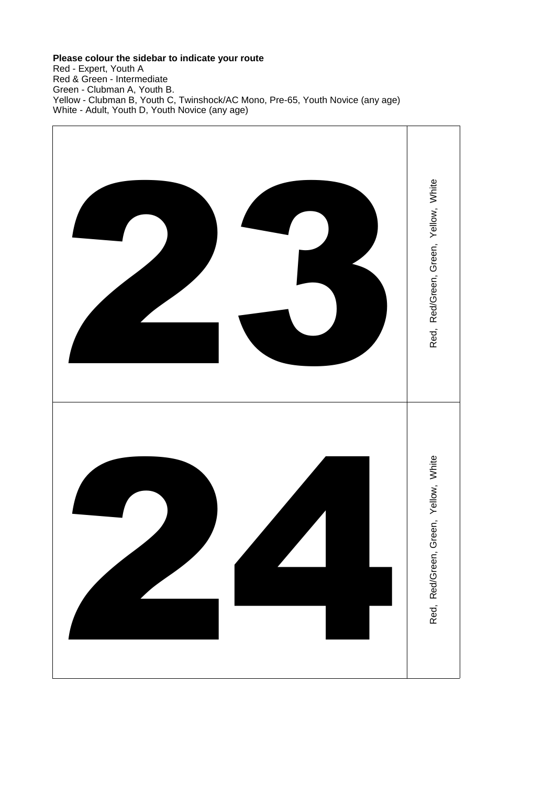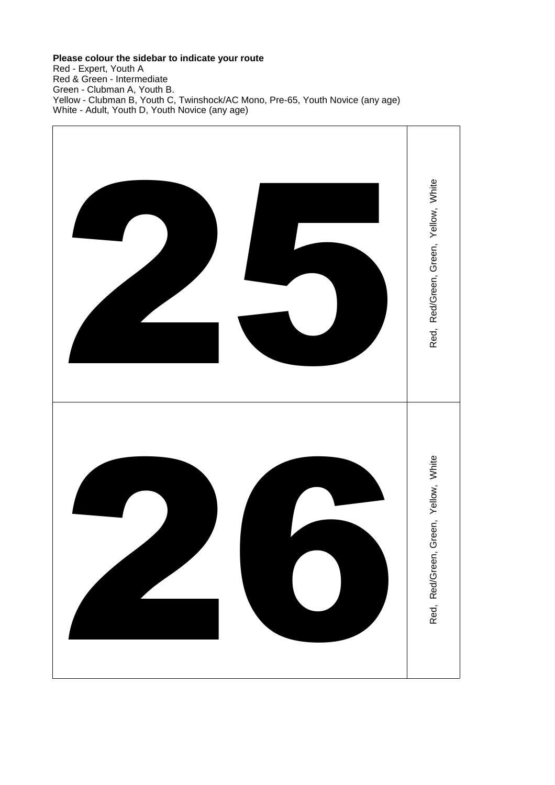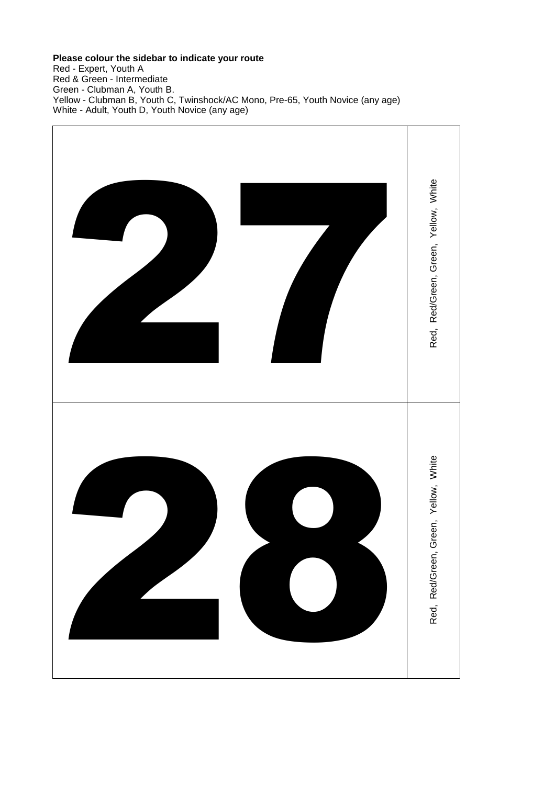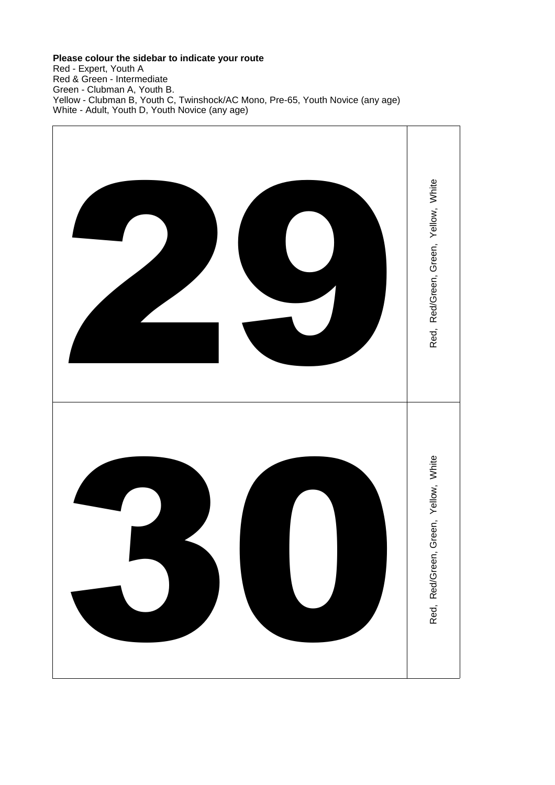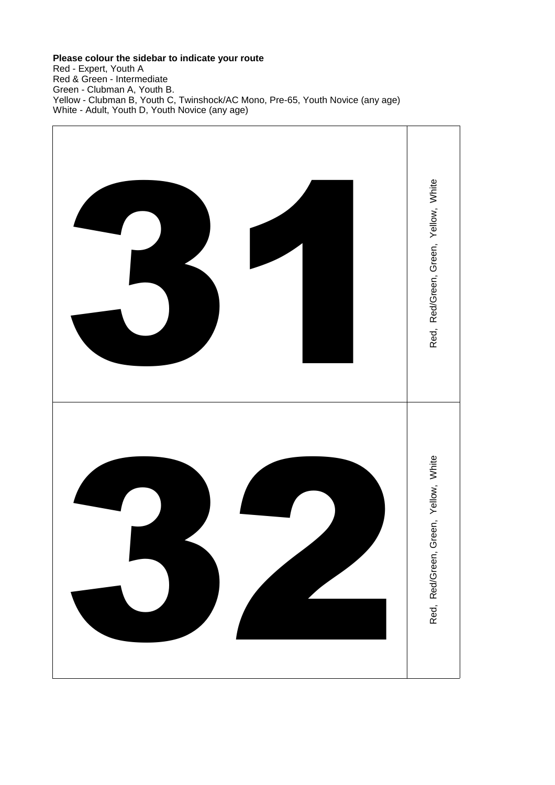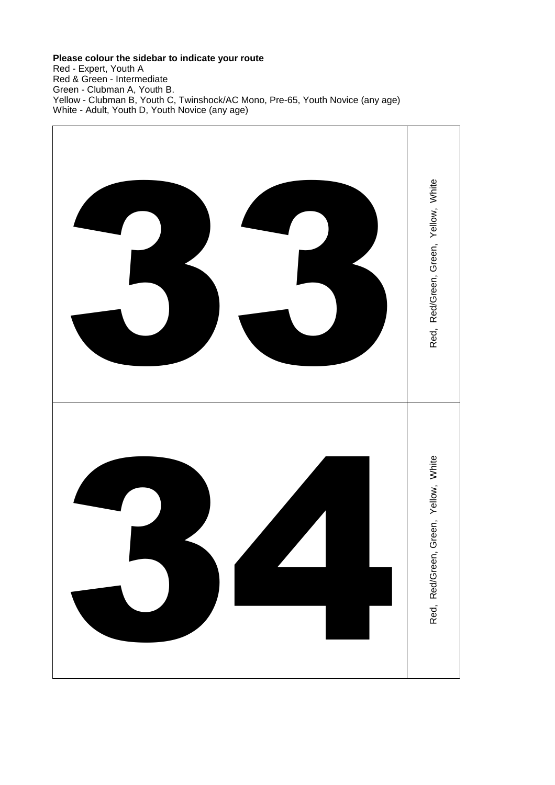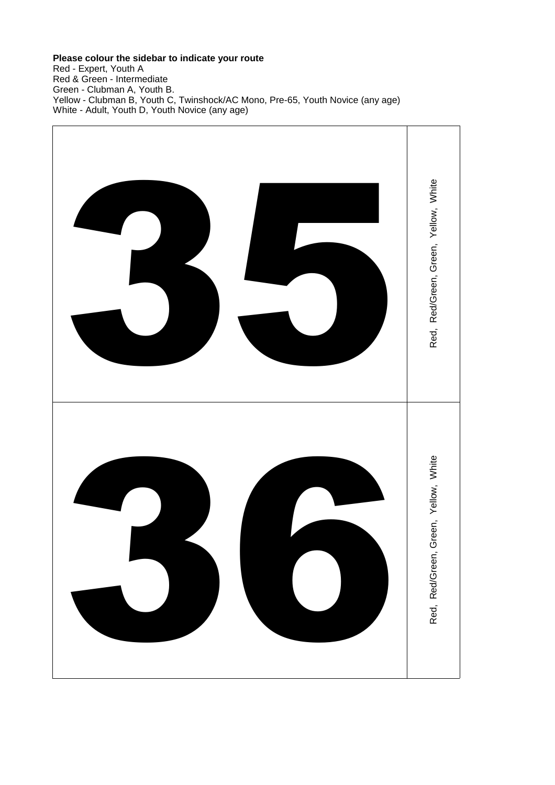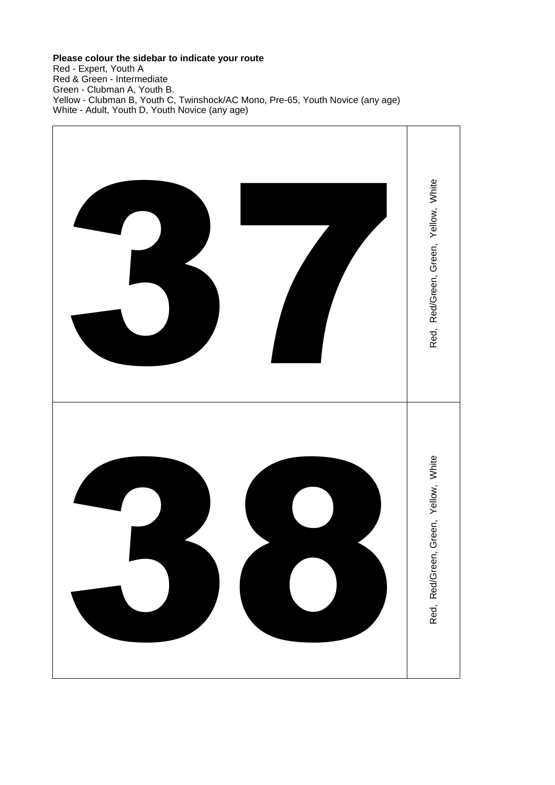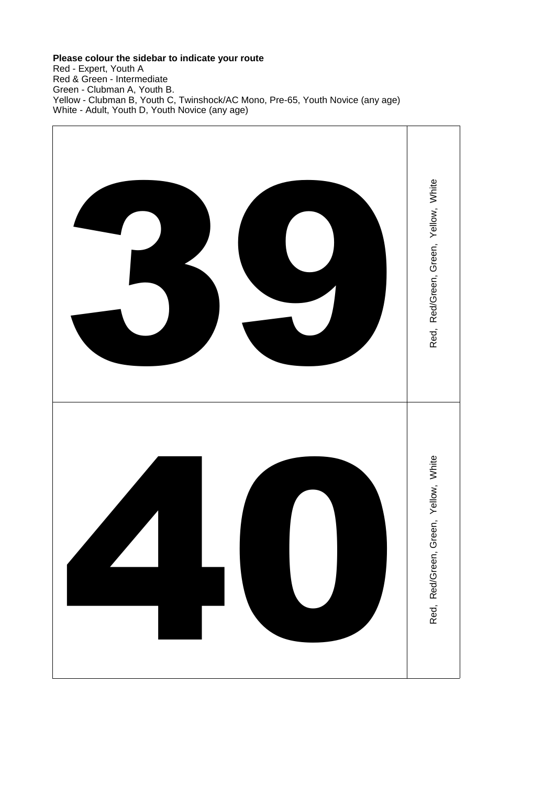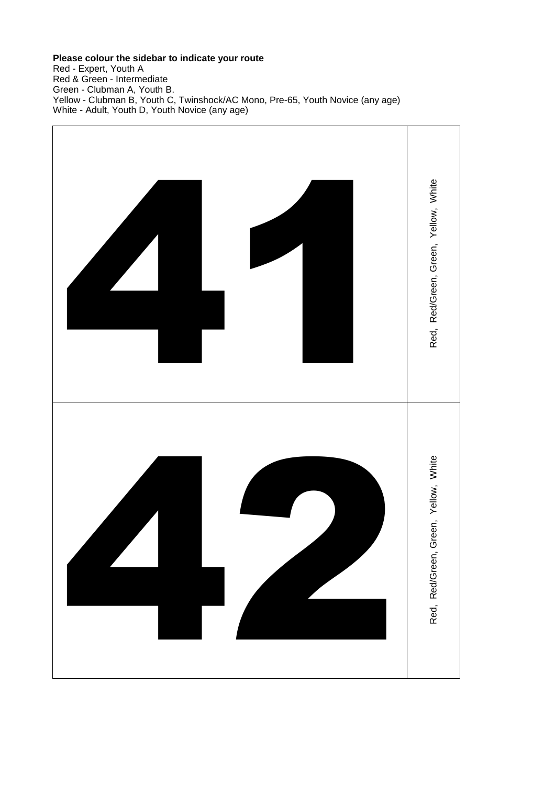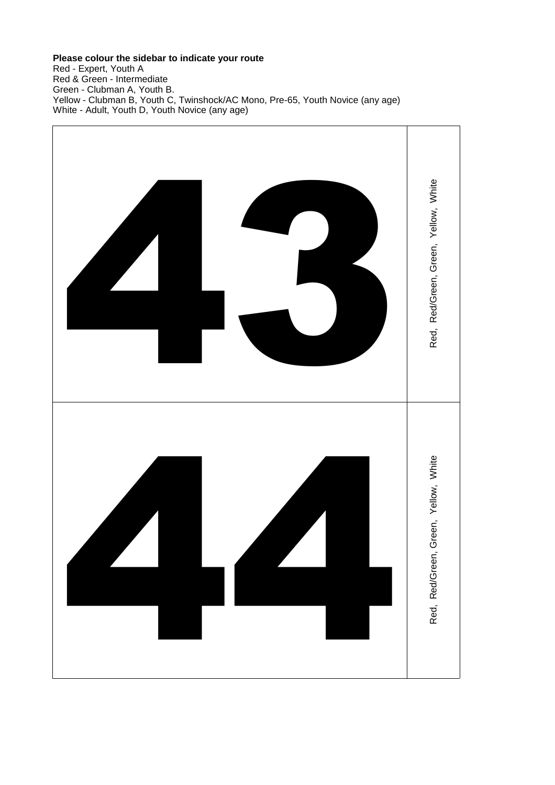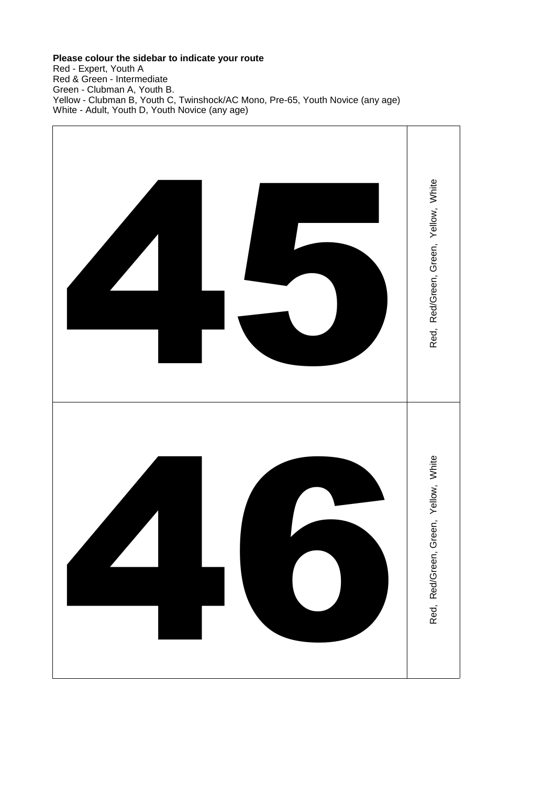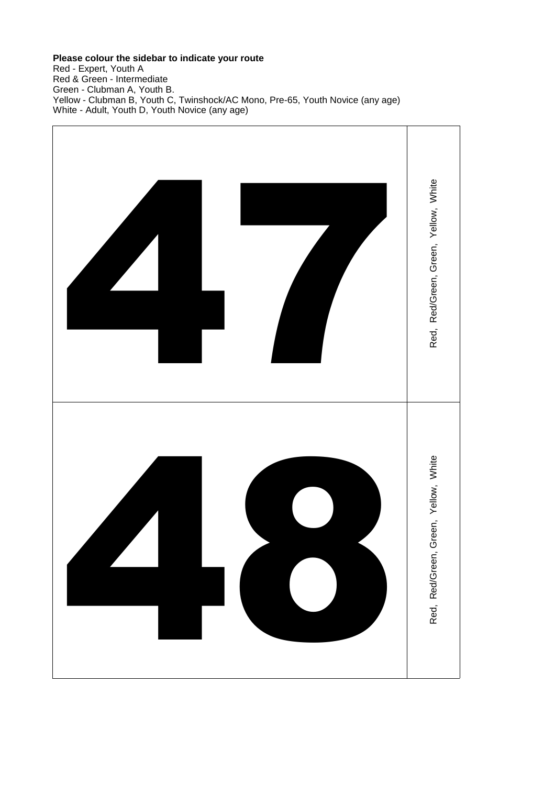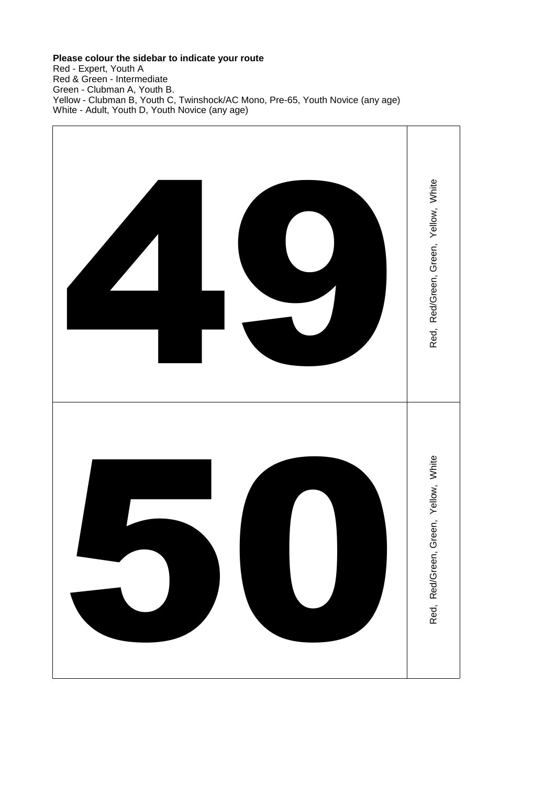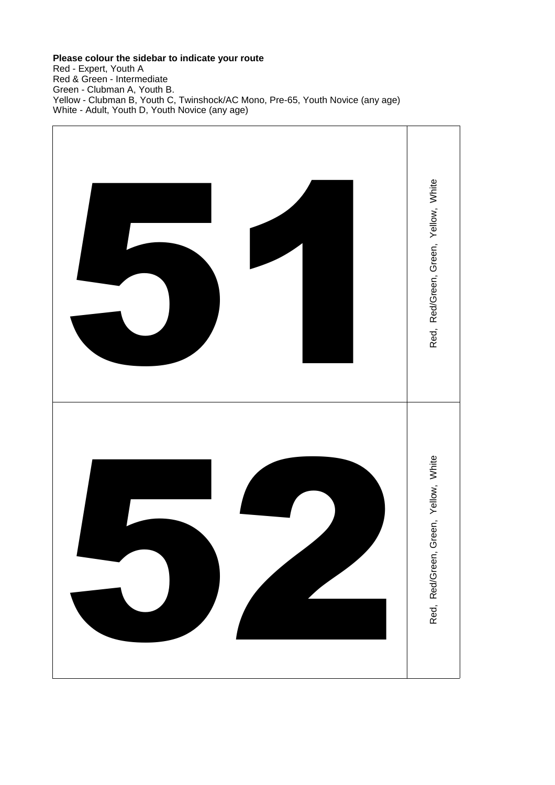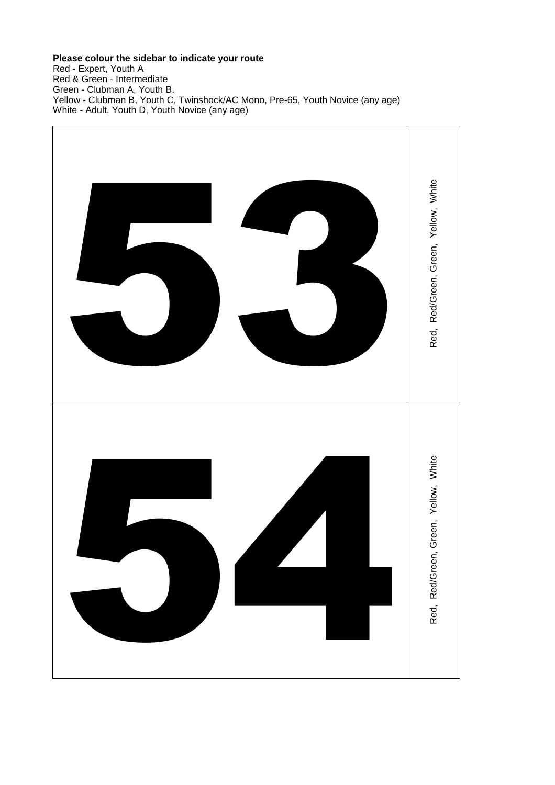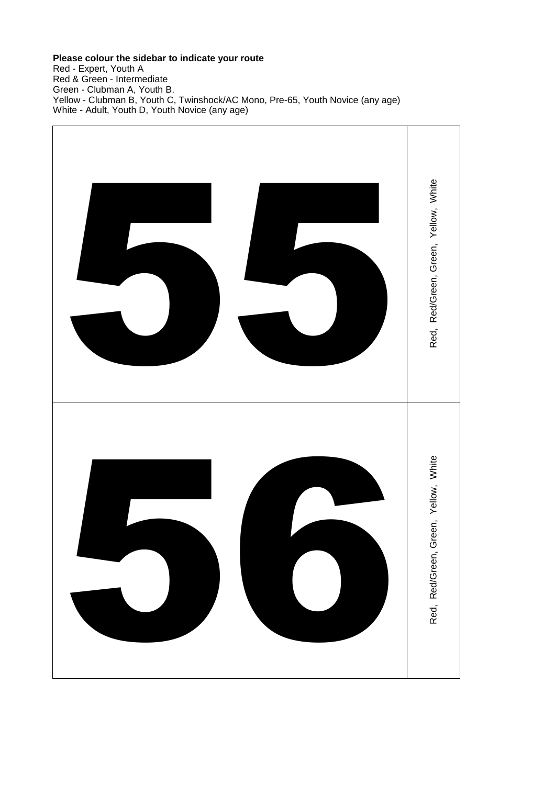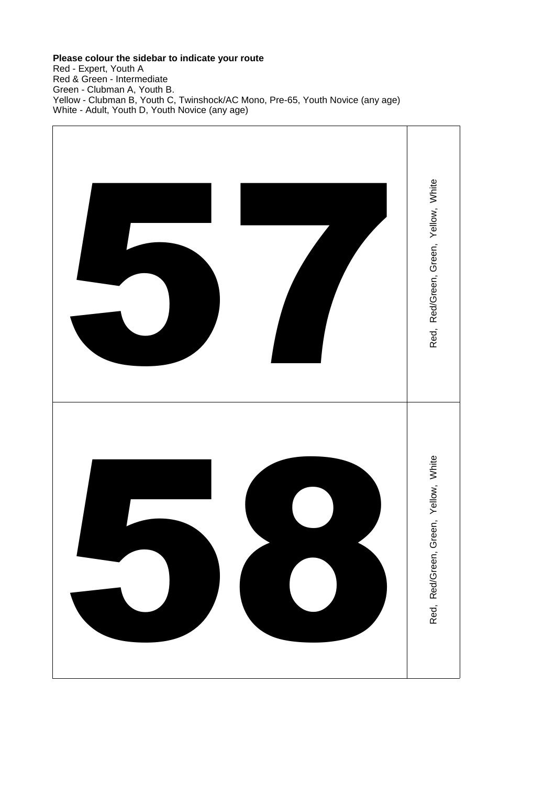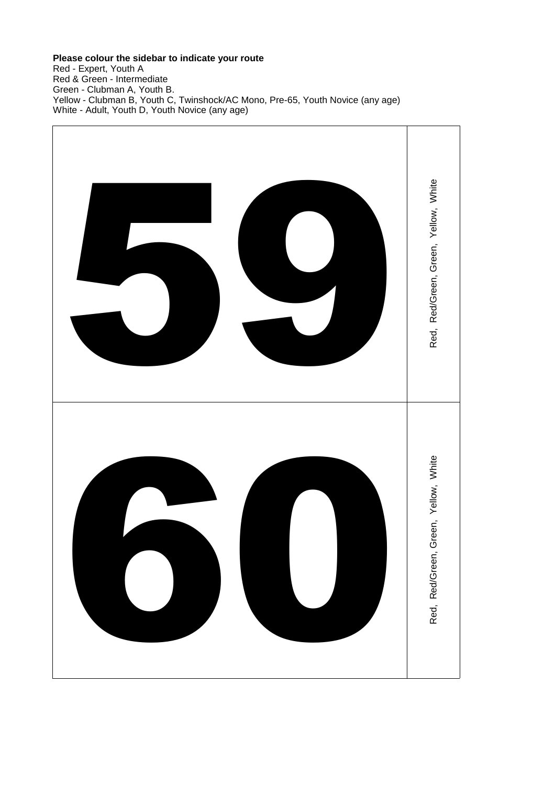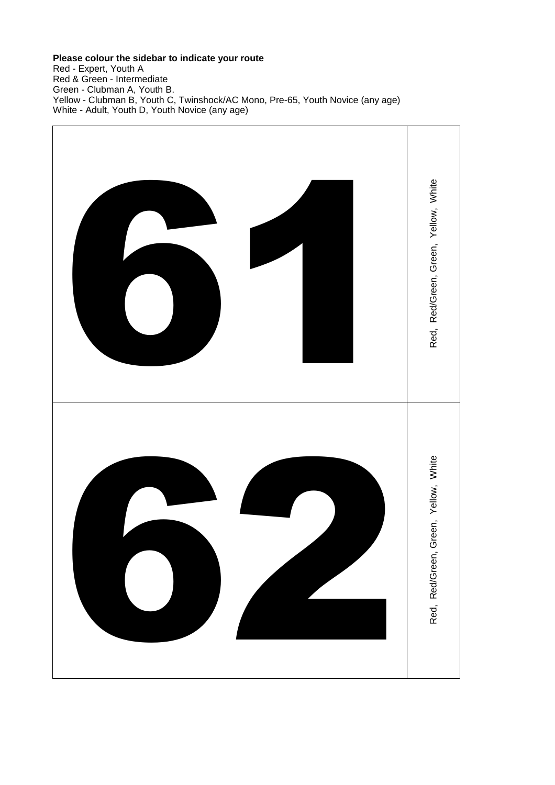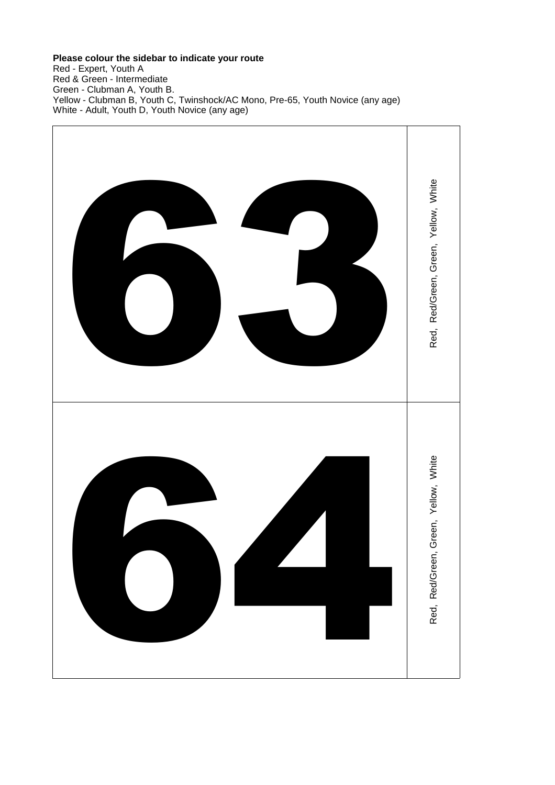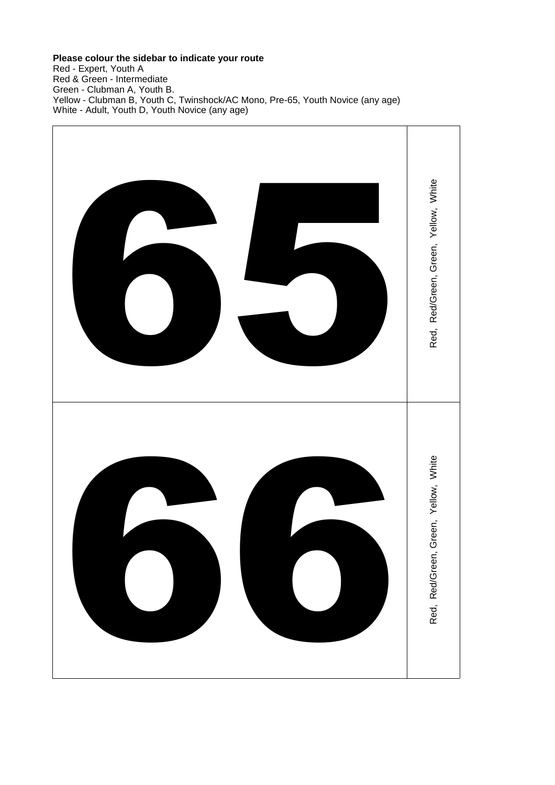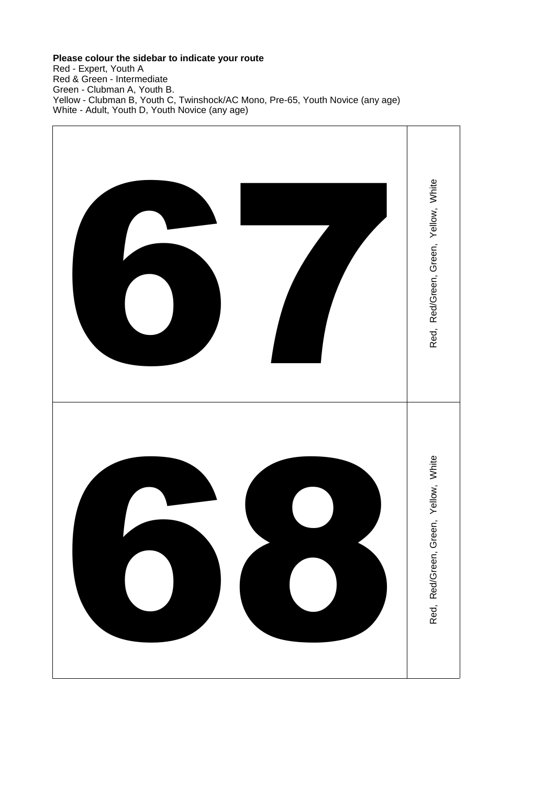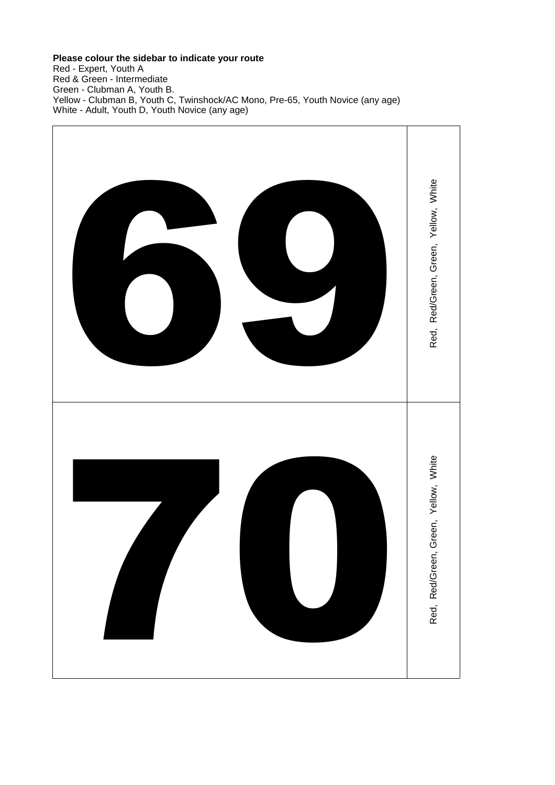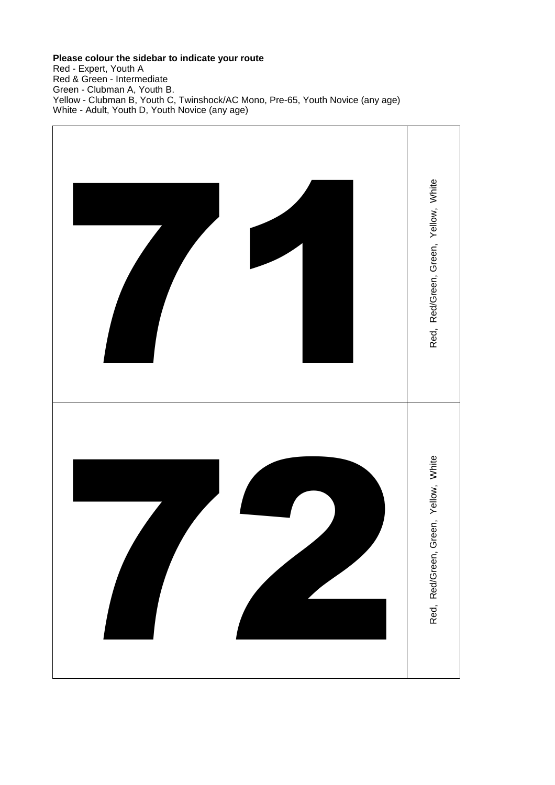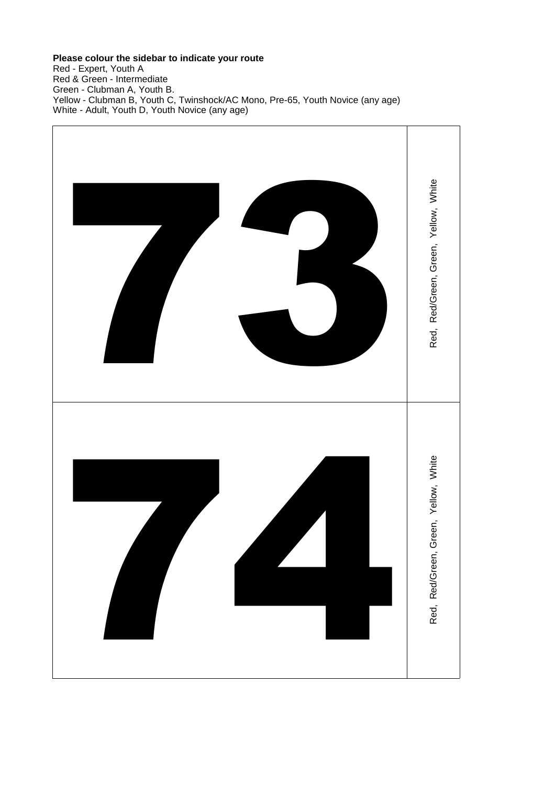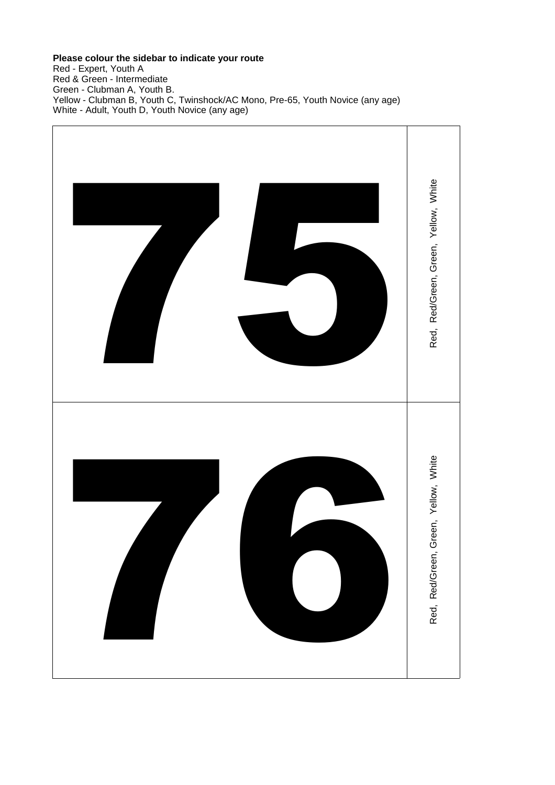Red - Expert, Youth A Red & Green - Intermediate Green - Clubman A, Youth B. Yellow - Clubman B, Youth C, Twinshock/AC Mono, Pre-65, Youth Novice (any age) White - Adult, Youth D, Youth Novice (any age)



## **Please colour the sidebar to indicate your route**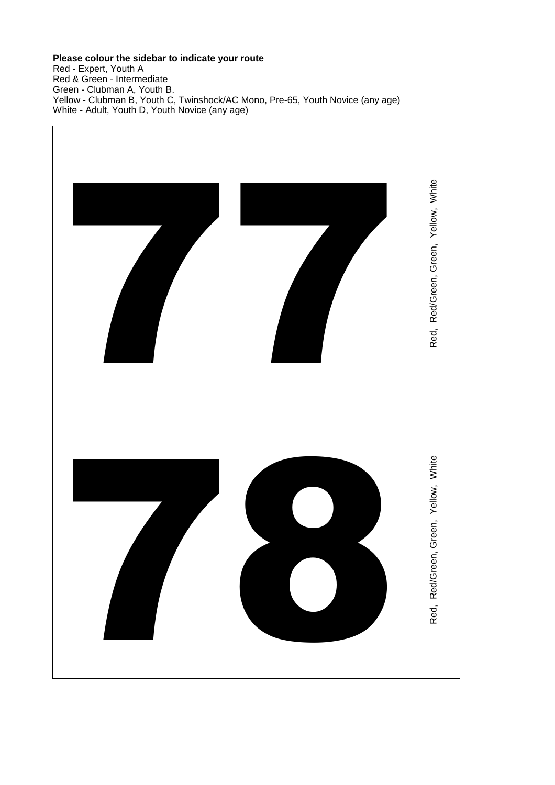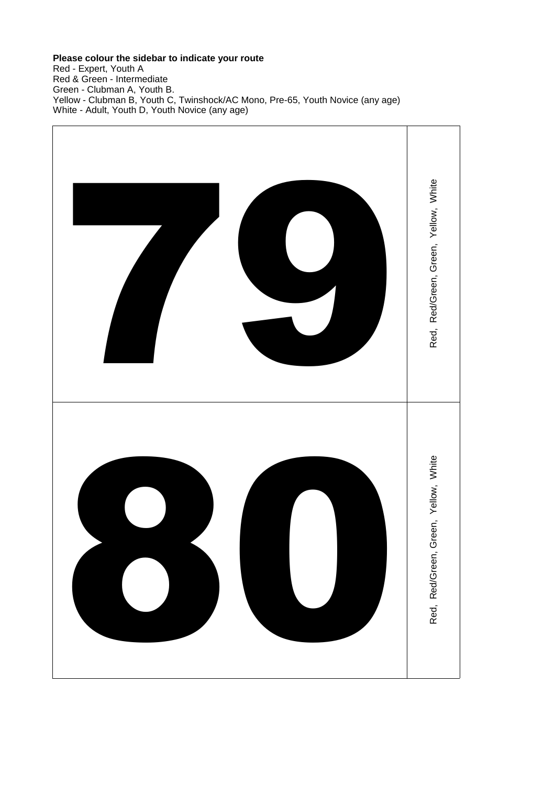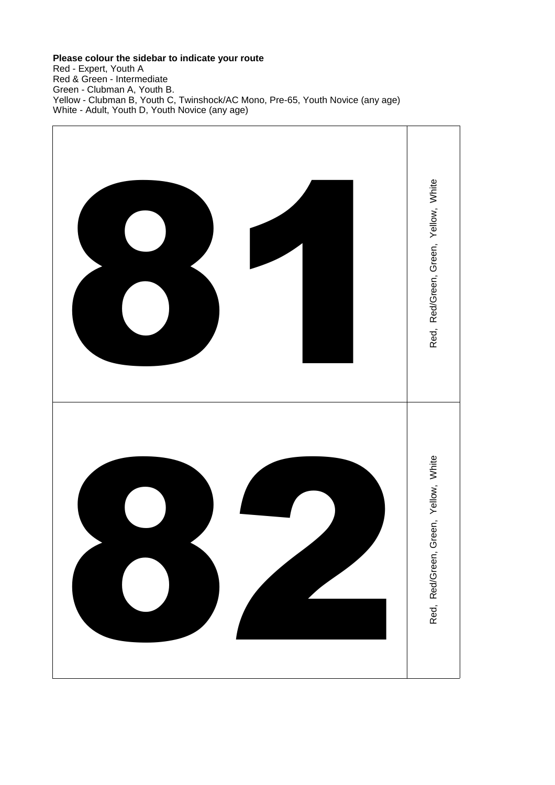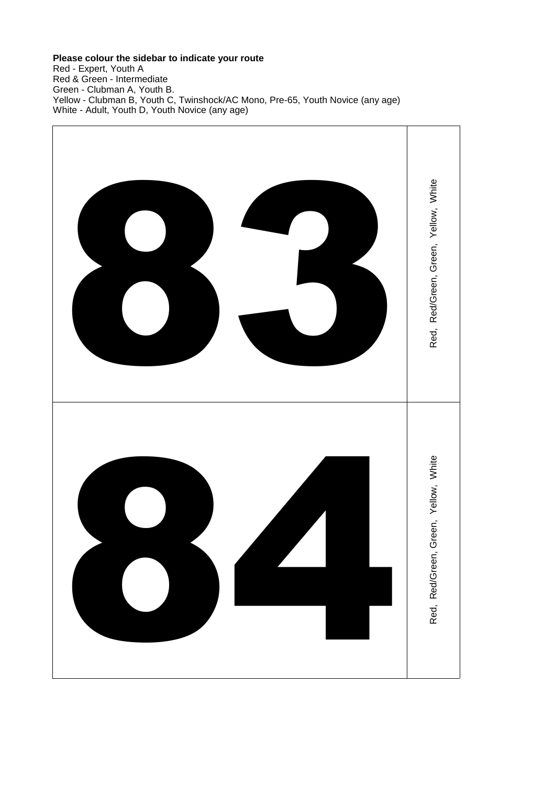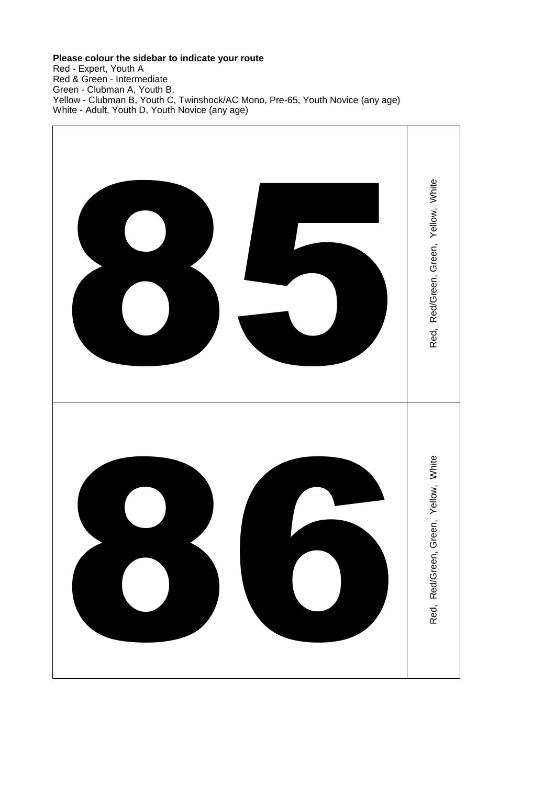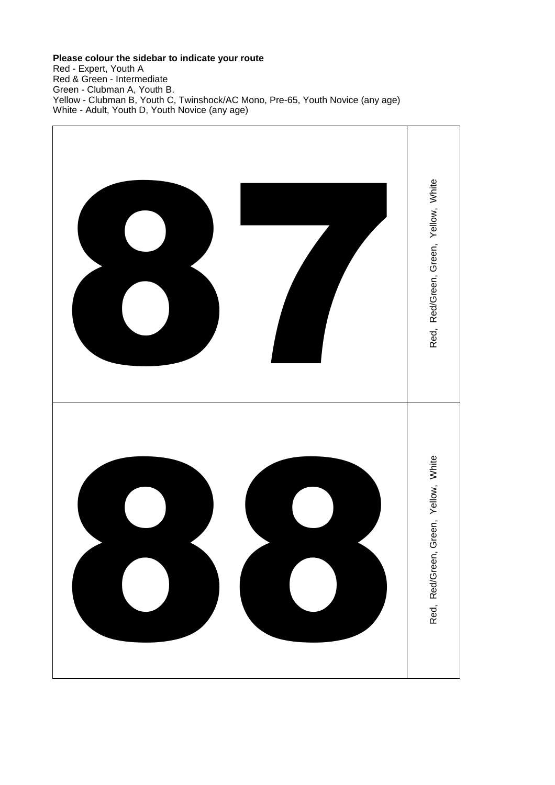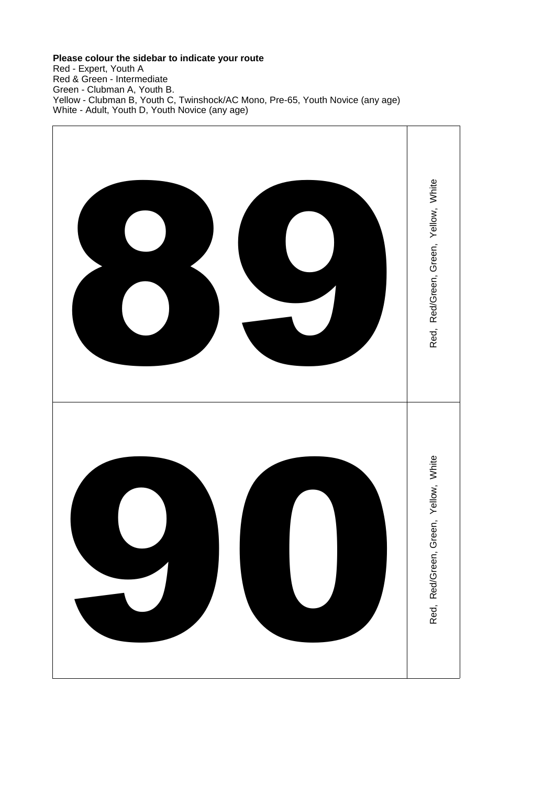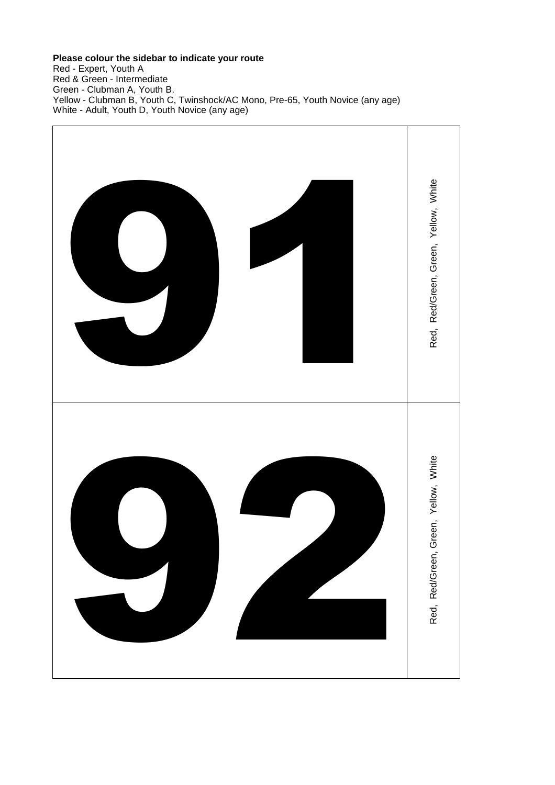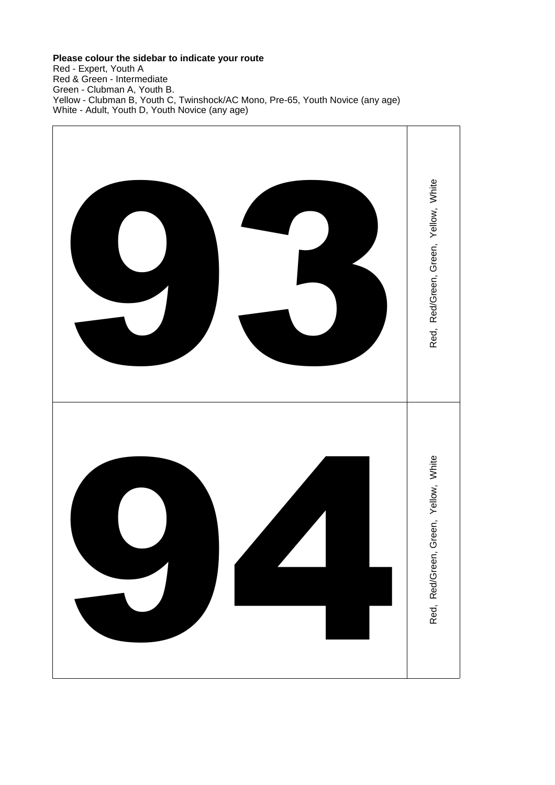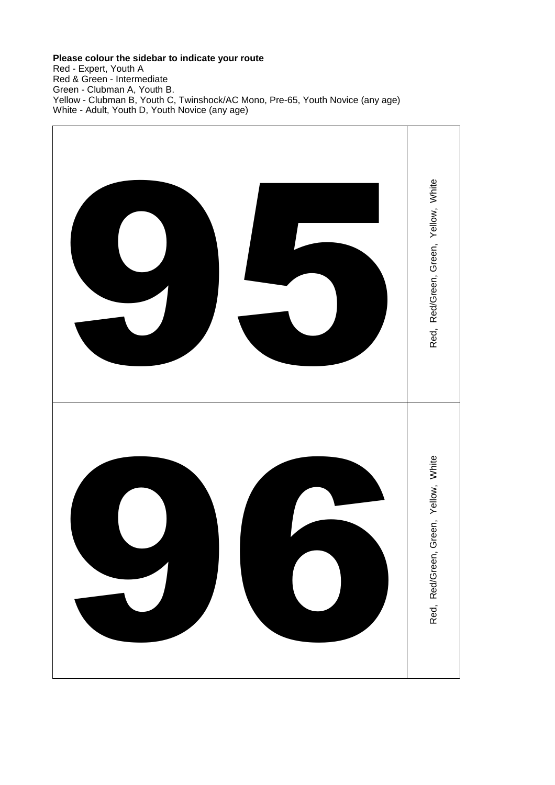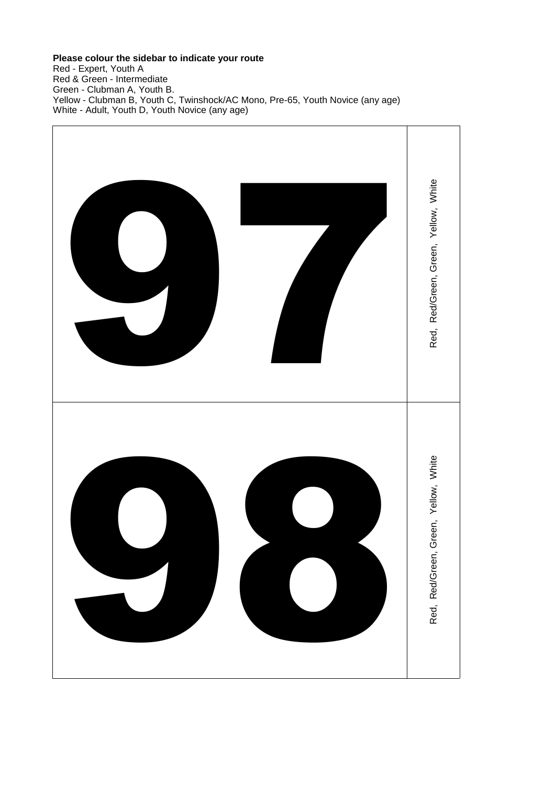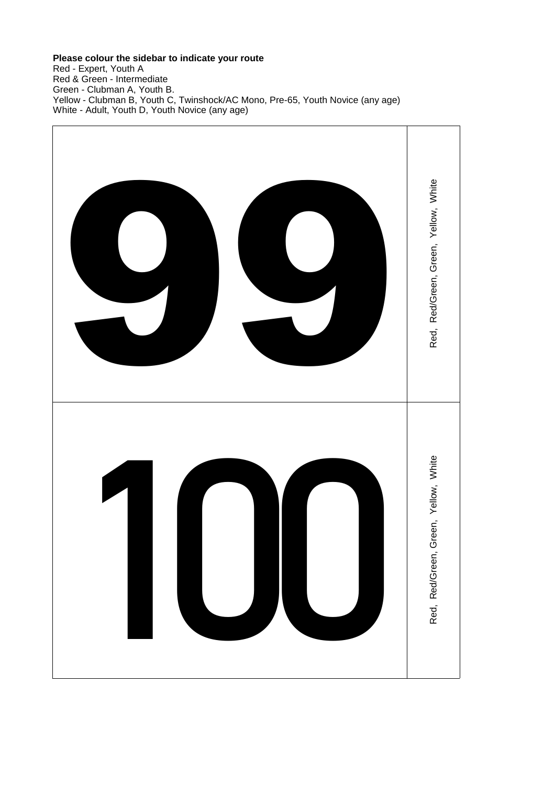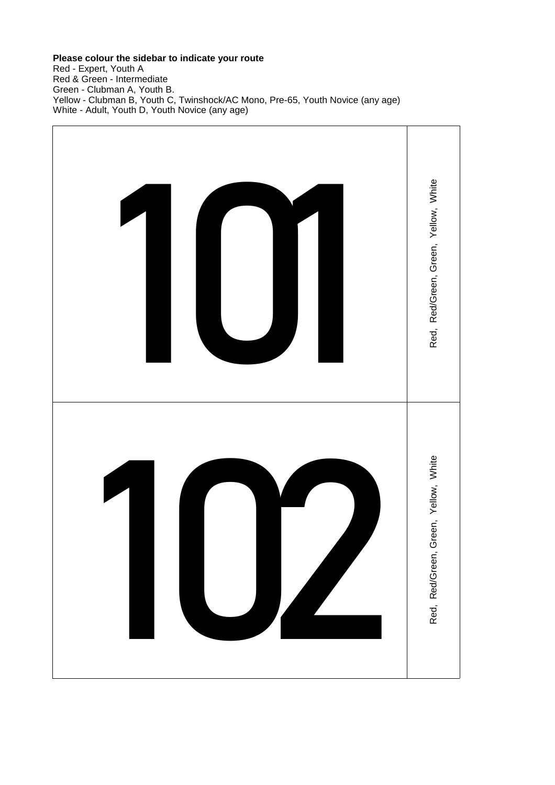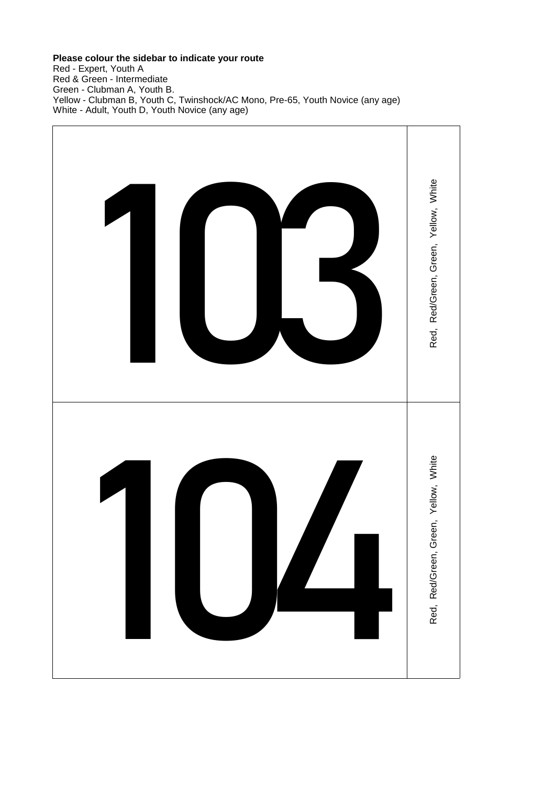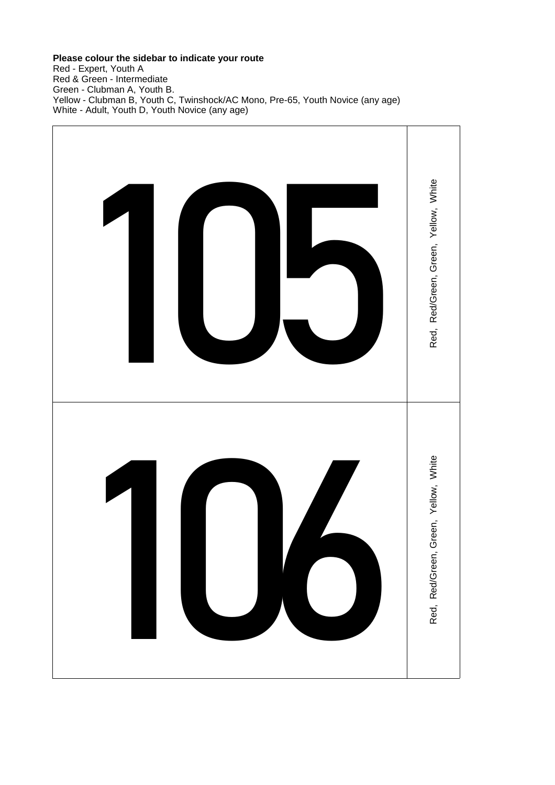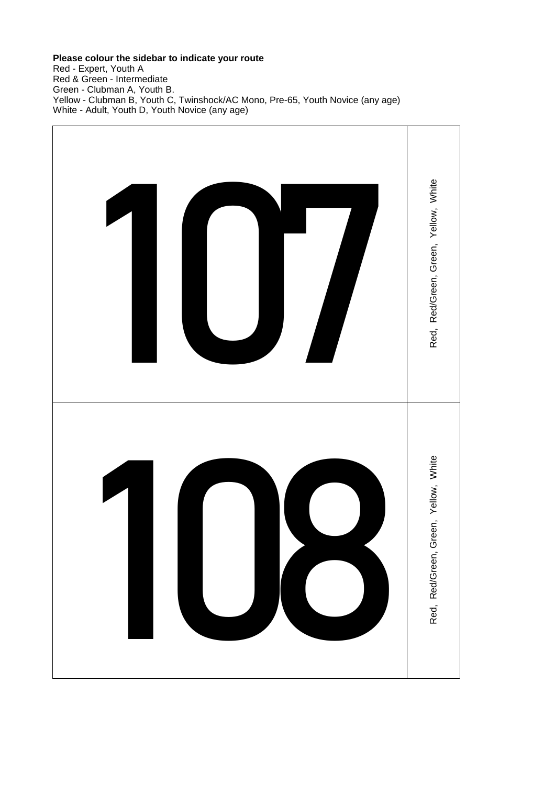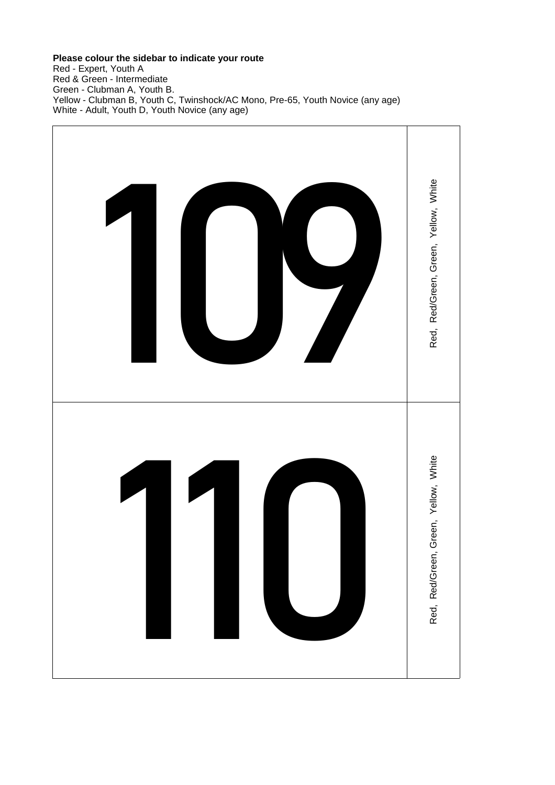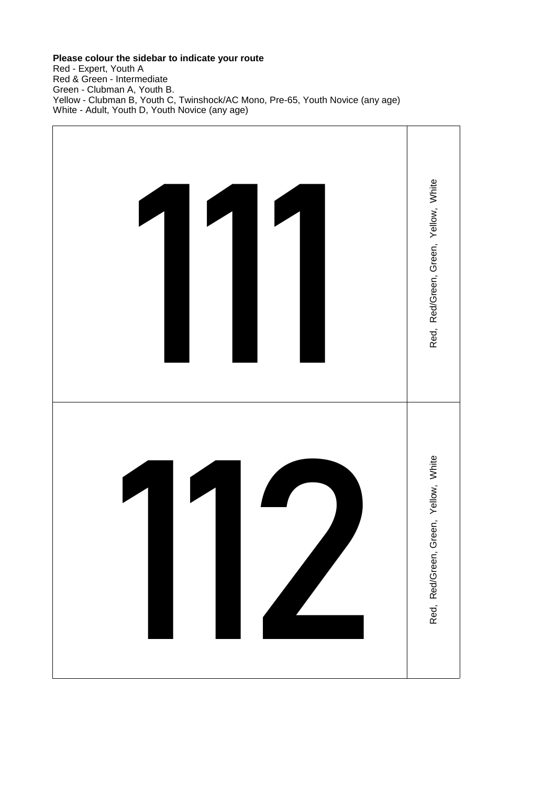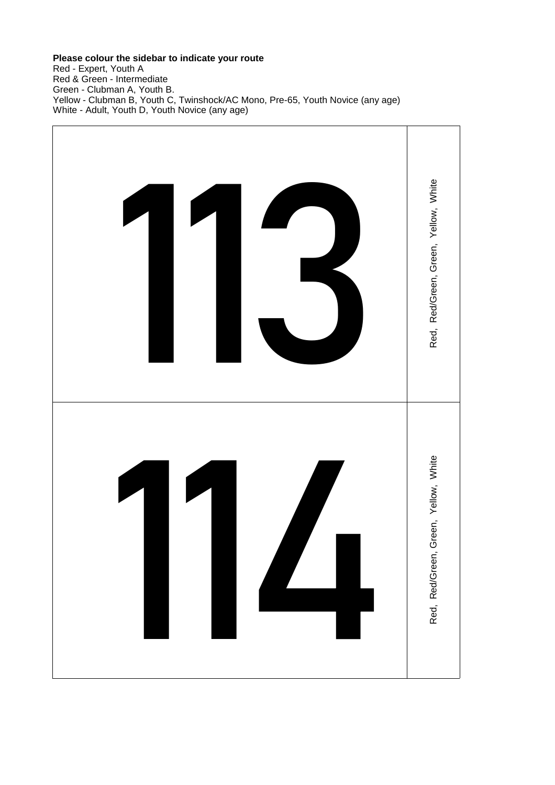# **Please colour the sidebar to indicate your route**

Red - Expert, Youth A Red & Green - Intermediate Green - Clubman A, Youth B. Yellow - Clubman B, Youth C, Twinshock/AC Mono, Pre-65, Youth Novice (any age) White - Adult, Youth D, Youth Novice (any age)

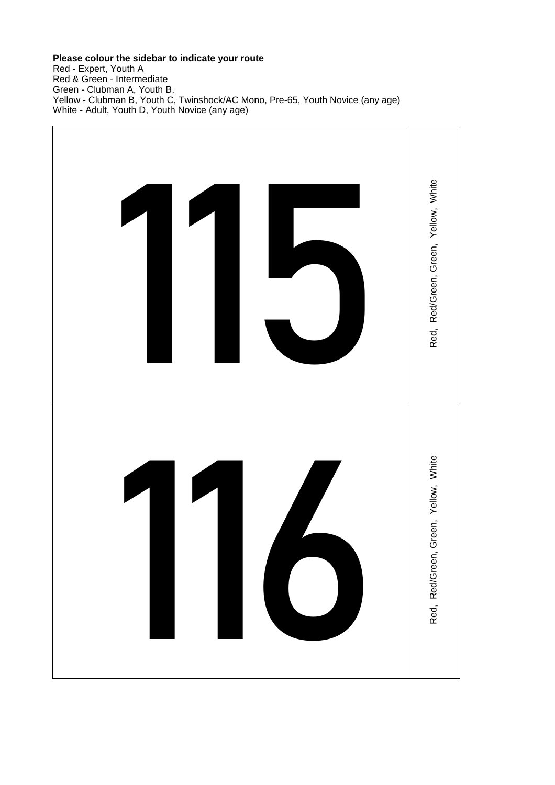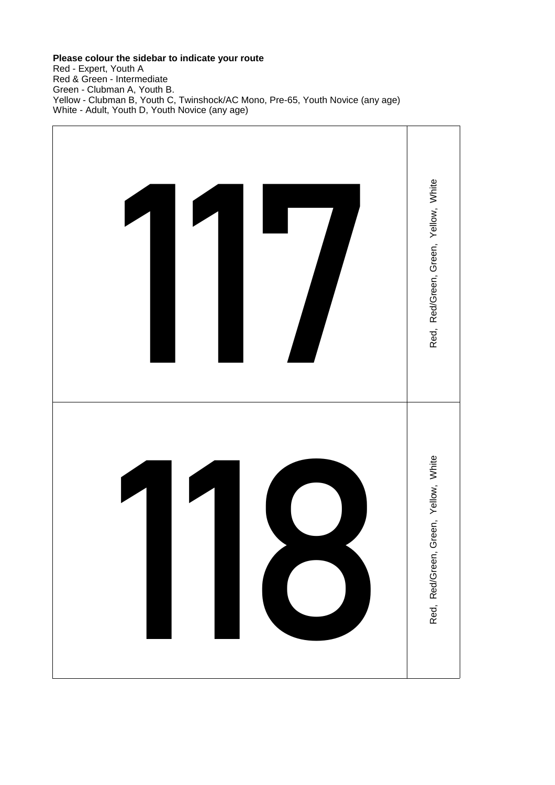